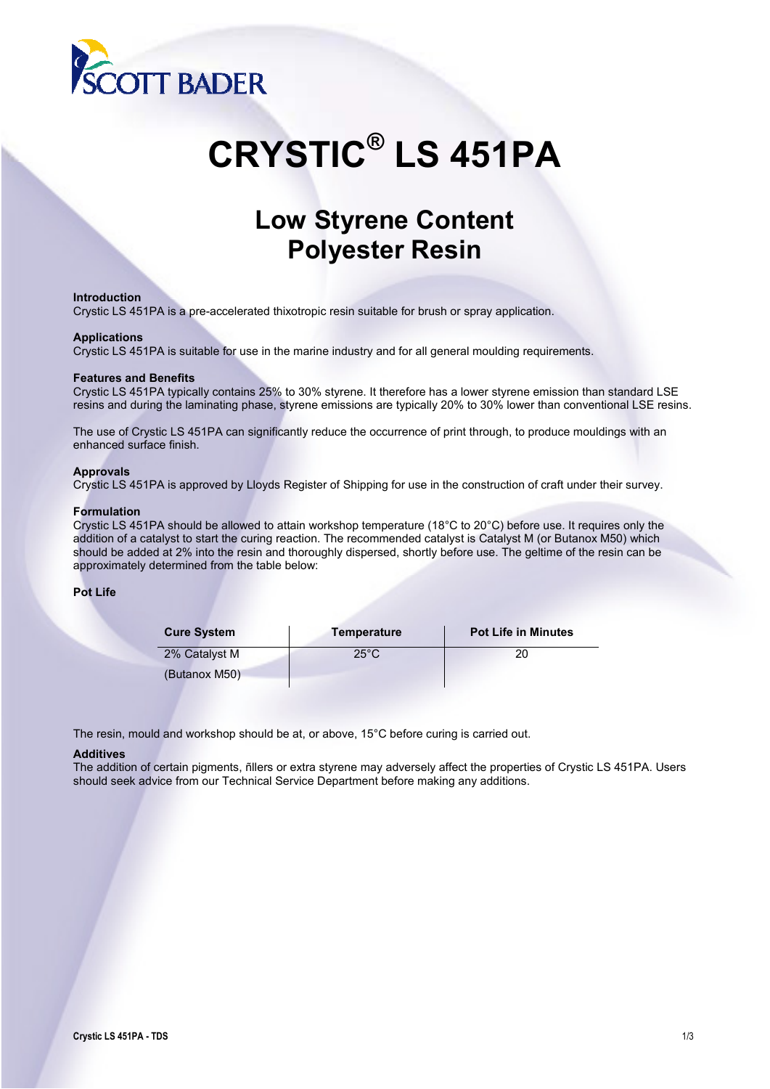

# **CRYSTIC® LS 451PA**

# **Low Styrene Content Polyester Resin**

#### **Introduction**

Crystic LS 451PA is a pre-accelerated thixotropic resin suitable for brush or spray application.

#### **Applications**

Crystic LS 451PA is suitable for use in the marine industry and for all general moulding requirements.

#### **Features and Benefits**

Crystic LS 451PA typically contains 25% to 30% styrene. It therefore has a lower styrene emission than standard LSE resins and during the laminating phase, styrene emissions are typically 20% to 30% lower than conventional LSE resins.

The use of Crystic LS 451PA can significantly reduce the occurrence of print through, to produce mouldings with an enhanced surface finish.

#### **Approvals**

Crystic LS 451PA is approved by Lloyds Register of Shipping for use in the construction of craft under their survey.

#### **Formulation**

Crystic LS 451PA should be allowed to attain workshop temperature (18°C to 20°C) before use. It requires only the addition of a catalyst to start the curing reaction. The recommended catalyst is Catalyst M (or Butanox M50) which should be added at 2% into the resin and thoroughly dispersed, shortly before use. The geltime of the resin can be approximately determined from the table below:

### **Pot Life**

| <b>Cure System</b> | <b>Temperature</b> | <b>Pot Life in Minutes</b> |
|--------------------|--------------------|----------------------------|
| 2% Catalyst M      | $25^{\circ}$ C     |                            |
| (Butanox M50)      |                    |                            |

The resin, mould and workshop should be at, or above, 15°C before curing is carried out.

#### **Additives**

The addition of certain pigments, ñllers or extra styrene may adversely affect the properties of Crystic LS 451PA. Users should seek advice from our Technical Service Department before making any additions.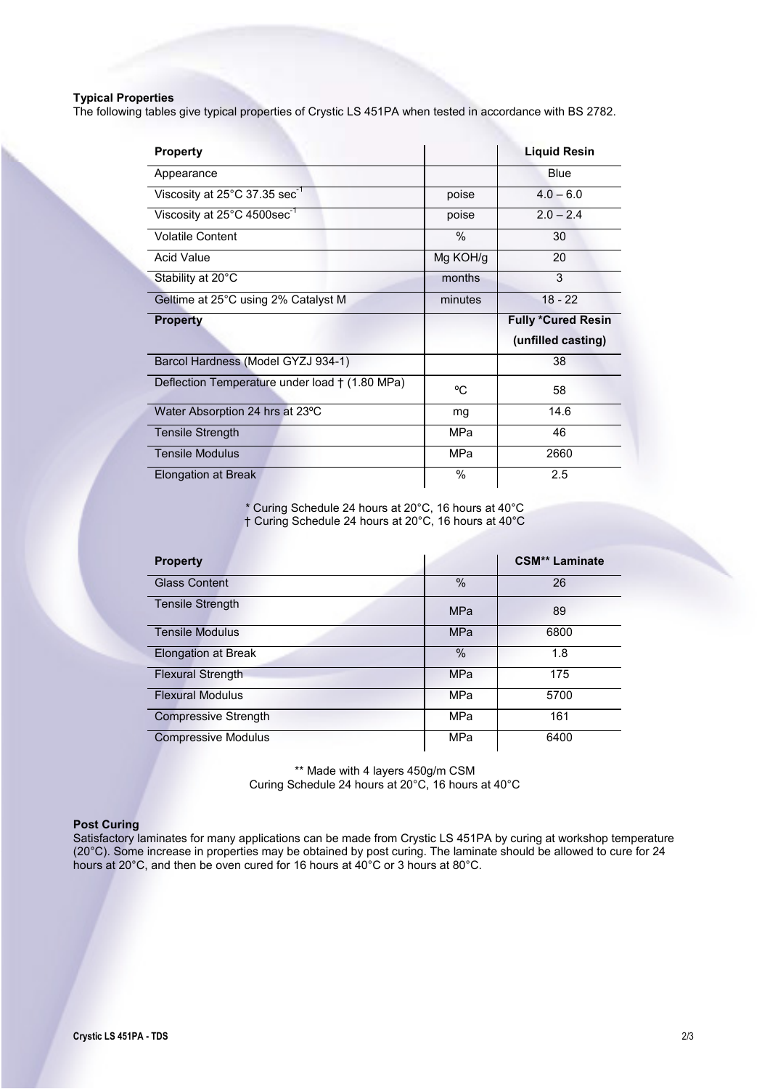# **Typical Properties**

The following tables give typical properties of Crystic LS 451PA when tested in accordance with BS 2782.

| <b>Property</b>                                     |          | <b>Liquid Resin</b>       |
|-----------------------------------------------------|----------|---------------------------|
| Appearance                                          |          | <b>Blue</b>               |
| Viscosity at $25^{\circ}$ C 37.35 sec <sup>-1</sup> | poise    | $4.0 - 6.0$               |
| Viscosity at 25°C 4500sec <sup>-1</sup>             | poise    | $2.0 - 2.4$               |
| <b>Volatile Content</b>                             | $\%$     | 30                        |
| Acid Value                                          | Mg KOH/g | 20                        |
| Stability at 20°C                                   | months   | 3                         |
| Geltime at 25°C using 2% Catalyst M                 | minutes  | $18 - 22$                 |
| <b>Property</b>                                     |          | <b>Fully *Cured Resin</b> |
|                                                     |          |                           |
|                                                     |          | (unfilled casting)        |
| Barcol Hardness (Model GYZJ 934-1)                  |          | 38                        |
| Deflection Temperature under load † (1.80 MPa)      | °C       | 58                        |
| Water Absorption 24 hrs at 23°C                     | mg       | 14.6                      |
| <b>Tensile Strength</b>                             | MPa      | 46                        |
| <b>Tensile Modulus</b>                              | MPa      | 2660                      |

\* Curing Schedule 24 hours at 20°C, 16 hours at 40°C † Curing Schedule 24 hours at 20°C, 16 hours at 40°C

| <b>Property</b>             |               | <b>CSM** Laminate</b> |
|-----------------------------|---------------|-----------------------|
| <b>Glass Content</b>        | $\frac{0}{0}$ | 26                    |
| <b>Tensile Strength</b>     | <b>MPa</b>    | 89                    |
| <b>Tensile Modulus</b>      | <b>MPa</b>    | 6800                  |
| Elongation at Break         | $\%$          | 1.8                   |
| <b>Flexural Strength</b>    | <b>MPa</b>    | 175                   |
| <b>Flexural Modulus</b>     | MPa           | 5700                  |
| <b>Compressive Strength</b> | <b>MPa</b>    | 161                   |
| <b>Compressive Modulus</b>  | MPa           | 6400                  |

\*\* Made with 4 layers 450g/m CSM Curing Schedule 24 hours at 20°C, 16 hours at 40°C

## **Post Curing**

Satisfactory laminates for many applications can be made from Crystic LS 451PA by curing at workshop temperature (20°C). Some increase in properties may be obtained by post curing. The laminate should be allowed to cure for 24 hours at 20°C, and then be oven cured for 16 hours at 40°C or 3 hours at 80°C.